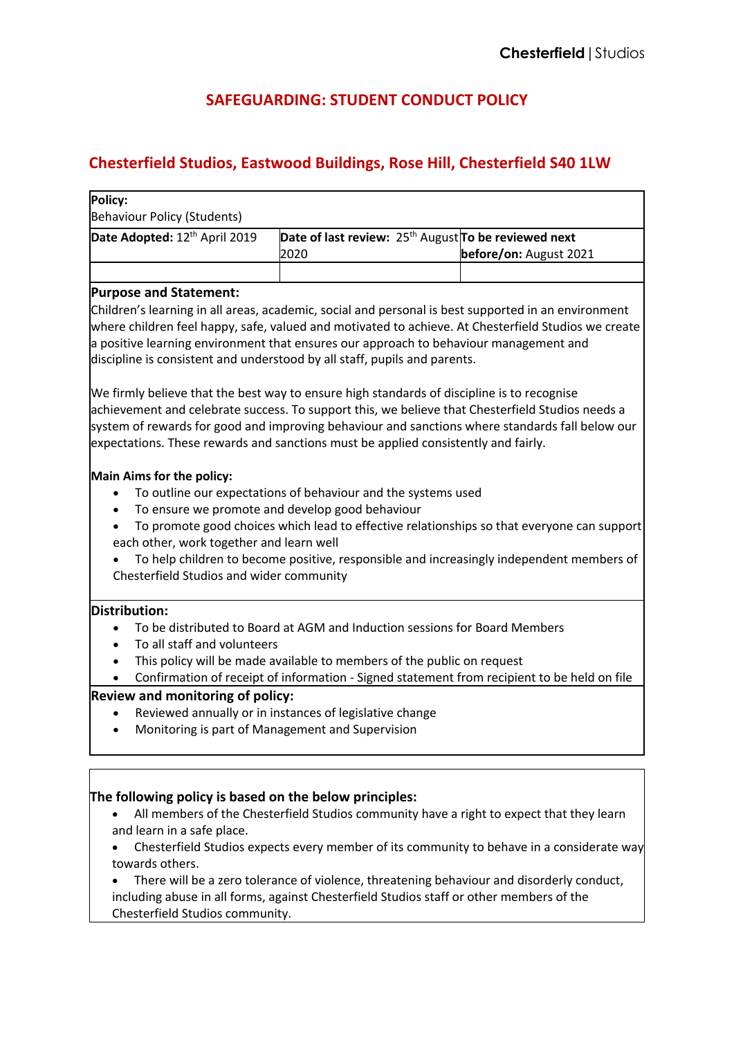## **SAFEGUARDING: STUDENT CONDUCT POLICY**

## **Chesterfield Studios, Eastwood Buildings, Rose Hill, Chesterfield S40 1LW**

| Policy:<br><b>Behaviour Policy (Students)</b>                                                                                                                                                                                                                                        |                                                                                                                                                                                       |                                                                                                                                                                                        |
|--------------------------------------------------------------------------------------------------------------------------------------------------------------------------------------------------------------------------------------------------------------------------------------|---------------------------------------------------------------------------------------------------------------------------------------------------------------------------------------|----------------------------------------------------------------------------------------------------------------------------------------------------------------------------------------|
| Date Adopted: 12th April 2019                                                                                                                                                                                                                                                        | Date of last review: $25th$ August To be reviewed next<br>2020                                                                                                                        | before/on: August 2021                                                                                                                                                                 |
|                                                                                                                                                                                                                                                                                      |                                                                                                                                                                                       |                                                                                                                                                                                        |
| <b>Purpose and Statement:</b>                                                                                                                                                                                                                                                        |                                                                                                                                                                                       |                                                                                                                                                                                        |
| Children's learning in all areas, academic, social and personal is best supported in an environment<br>a positive learning environment that ensures our approach to behaviour management and<br>discipline is consistent and understood by all staff, pupils and parents.            |                                                                                                                                                                                       | where children feel happy, safe, valued and motivated to achieve. At Chesterfield Studios we create                                                                                    |
| We firmly believe that the best way to ensure high standards of discipline is to recognise<br>achievement and celebrate success. To support this, we believe that Chesterfield Studios needs a<br>expectations. These rewards and sanctions must be applied consistently and fairly. |                                                                                                                                                                                       | system of rewards for good and improving behaviour and sanctions where standards fall below our                                                                                        |
| Main Aims for the policy:<br>$\bullet$<br>each other, work together and learn well<br>Chesterfield Studios and wider community                                                                                                                                                       | To outline our expectations of behaviour and the systems used<br>To ensure we promote and develop good behaviour                                                                      | To promote good choices which lead to effective relationships so that everyone can support<br>To help children to become positive, responsible and increasingly independent members of |
| Distribution:                                                                                                                                                                                                                                                                        |                                                                                                                                                                                       |                                                                                                                                                                                        |
|                                                                                                                                                                                                                                                                                      | To be distributed to Board at AGM and Induction sessions for Board Members                                                                                                            |                                                                                                                                                                                        |
| To all staff and volunteers                                                                                                                                                                                                                                                          |                                                                                                                                                                                       |                                                                                                                                                                                        |
|                                                                                                                                                                                                                                                                                      | This policy will be made available to members of the public on request<br>Confirmation of receipt of information - Signed statement from recipient to be held on file                 |                                                                                                                                                                                        |
| Review and monitoring of policy:                                                                                                                                                                                                                                                     |                                                                                                                                                                                       |                                                                                                                                                                                        |
| $\bullet$                                                                                                                                                                                                                                                                            | Reviewed annually or in instances of legislative change<br>Monitoring is part of Management and Supervision                                                                           |                                                                                                                                                                                        |
|                                                                                                                                                                                                                                                                                      |                                                                                                                                                                                       |                                                                                                                                                                                        |
| The following policy is based on the below principles:<br>and learn in a safe place.<br>towards others.                                                                                                                                                                              | All members of the Chesterfield Studios community have a right to expect that they learn<br>There will be a zero tolerance of violence, threatening behaviour and disorderly conduct, | Chesterfield Studios expects every member of its community to behave in a considerate way                                                                                              |
|                                                                                                                                                                                                                                                                                      | including abuse in all forms, against Chesterfield Studios staff or other members of the                                                                                              |                                                                                                                                                                                        |

Chesterfield Studios community.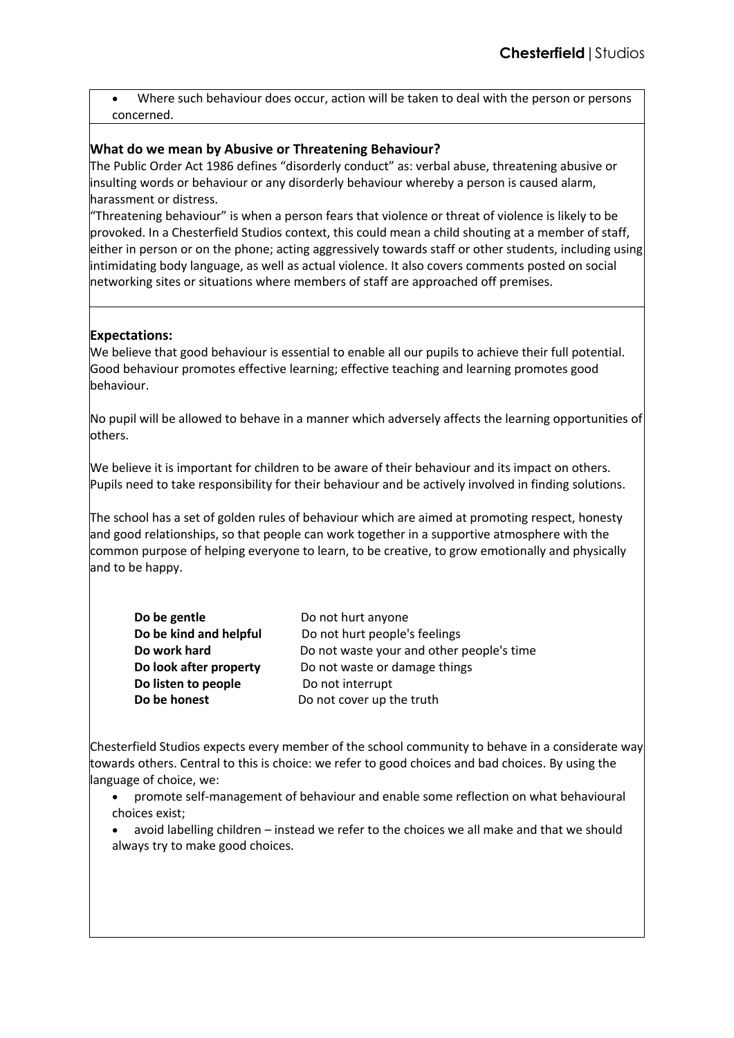• Where such behaviour does occur, action will be taken to deal with the person or persons concerned.

### **What do we mean by Abusive or Threatening Behaviour?**

The Public Order Act 1986 defines "disorderly conduct" as: verbal abuse, threatening abusive or insulting words or behaviour or any disorderly behaviour whereby a person is caused alarm, harassment or distress.

"Threatening behaviour" is when a person fears that violence or threat of violence is likely to be provoked. In a Chesterfield Studios context, this could mean a child shouting at a member of staff, either in person or on the phone; acting aggressively towards staff or other students, including using intimidating body language, as well as actual violence. It also covers comments posted on social networking sites or situations where members of staff are approached off premises.

## **Expectations:**

We believe that good behaviour is essential to enable all our pupils to achieve their full potential. Good behaviour promotes effective learning; effective teaching and learning promotes good behaviour.

No pupil will be allowed to behave in a manner which adversely affects the learning opportunities of others.

We believe it is important for children to be aware of their behaviour and its impact on others. Pupils need to take responsibility for their behaviour and be actively involved in finding solutions.

The school has a set of golden rules of behaviour which are aimed at promoting respect, honesty and good relationships, so that people can work together in a supportive atmosphere with the common purpose of helping everyone to learn, to be creative, to grow emotionally and physically and to be happy.

| Do be gentle           | Do not hurt anyone                        |  |
|------------------------|-------------------------------------------|--|
| Do be kind and helpful | Do not hurt people's feelings             |  |
| Do work hard           | Do not waste your and other people's time |  |
| Do look after property | Do not waste or damage things             |  |
| Do listen to people    | Do not interrupt                          |  |
| Do be honest           | Do not cover up the truth                 |  |

Chesterfield Studios expects every member of the school community to behave in a considerate way towards others. Central to this is choice: we refer to good choices and bad choices. By using the language of choice, we:

- promote self-management of behaviour and enable some reflection on what behavioural choices exist;
- avoid labelling children instead we refer to the choices we all make and that we should always try to make good choices.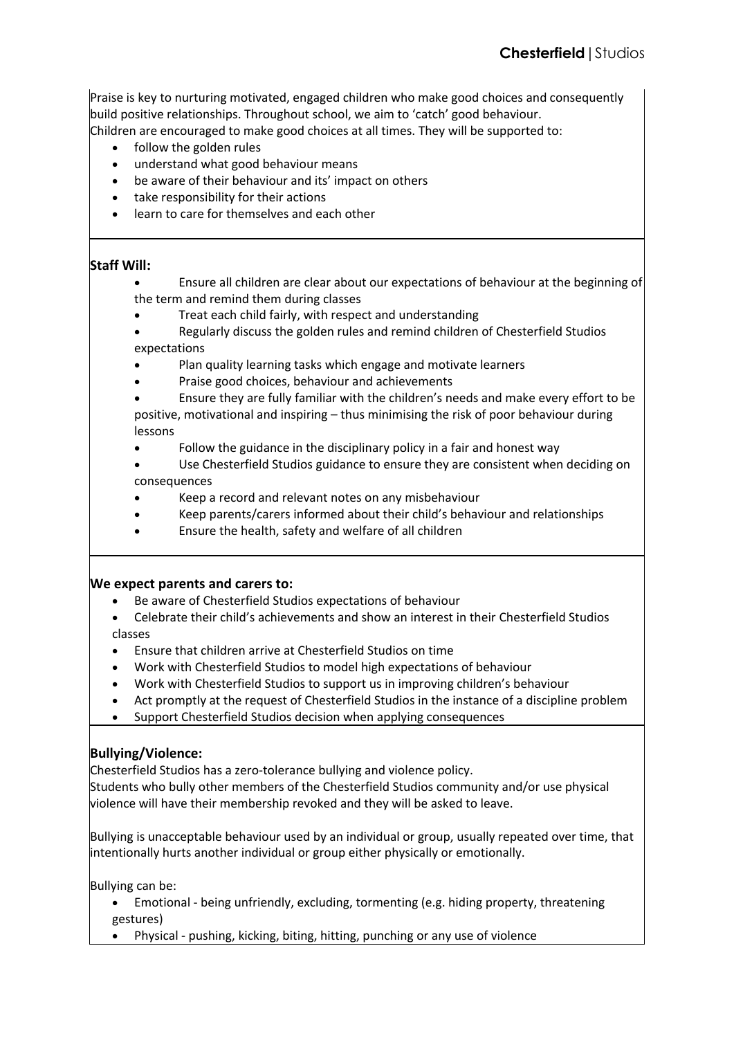Praise is key to nurturing motivated, engaged children who make good choices and consequently build positive relationships. Throughout school, we aim to 'catch' good behaviour.

Children are encouraged to make good choices at all times. They will be supported to:

- follow the golden rules
- understand what good behaviour means
- be aware of their behaviour and its' impact on others
- take responsibility for their actions
- learn to care for themselves and each other

## **Staff Will:**

- Ensure all children are clear about our expectations of behaviour at the beginning of the term and remind them during classes
	- Treat each child fairly, with respect and understanding
- Regularly discuss the golden rules and remind children of Chesterfield Studios expectations
- Plan quality learning tasks which engage and motivate learners
- Praise good choices, behaviour and achievements
- Ensure they are fully familiar with the children's needs and make every effort to be positive, motivational and inspiring – thus minimising the risk of poor behaviour during lessons
- Follow the guidance in the disciplinary policy in a fair and honest way
- Use Chesterfield Studios guidance to ensure they are consistent when deciding on consequences
- Keep a record and relevant notes on any misbehaviour
- Keep parents/carers informed about their child's behaviour and relationships
- Ensure the health, safety and welfare of all children

#### **We expect parents and carers to:**

- Be aware of Chesterfield Studios expectations of behaviour
- Celebrate their child's achievements and show an interest in their Chesterfield Studios classes
- Ensure that children arrive at Chesterfield Studios on time
- Work with Chesterfield Studios to model high expectations of behaviour
- Work with Chesterfield Studios to support us in improving children's behaviour
- Act promptly at the request of Chesterfield Studios in the instance of a discipline problem
- Support Chesterfield Studios decision when applying consequences

## **Bullying/Violence:**

Chesterfield Studios has a zero-tolerance bullying and violence policy.

Students who bully other members of the Chesterfield Studios community and/or use physical violence will have their membership revoked and they will be asked to leave.

Bullying is unacceptable behaviour used by an individual or group, usually repeated over time, that intentionally hurts another individual or group either physically or emotionally.

Bullying can be:

- Emotional being unfriendly, excluding, tormenting (e.g. hiding property, threatening gestures)
- Physical pushing, kicking, biting, hitting, punching or any use of violence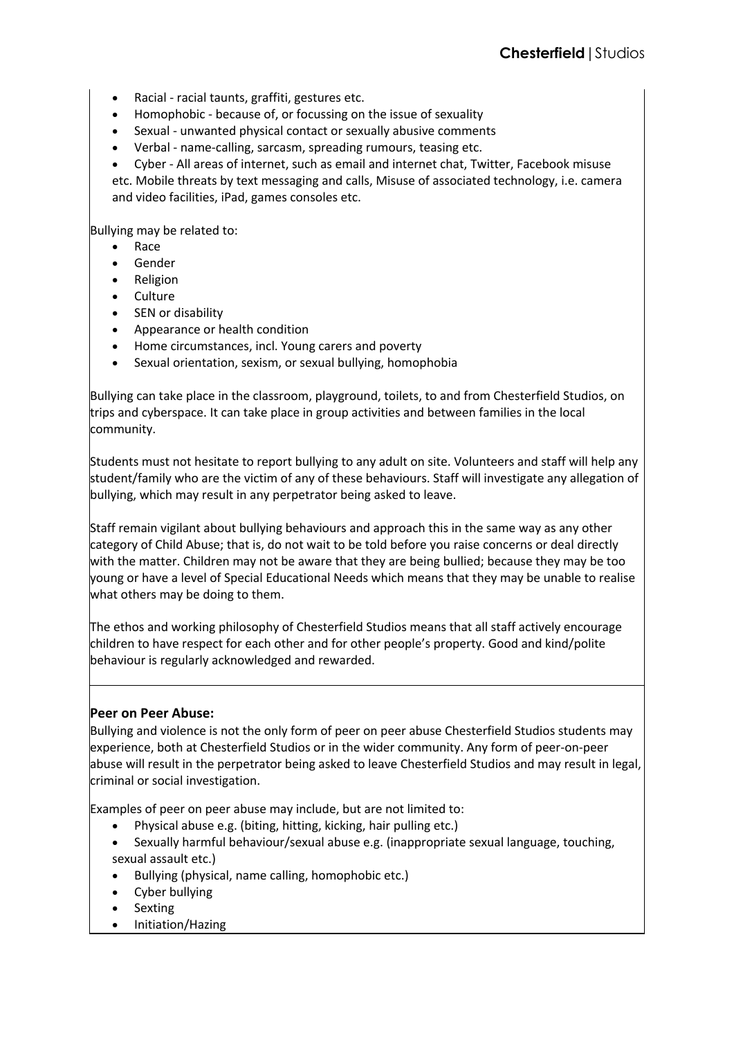- Racial racial taunts, graffiti, gestures etc.
- Homophobic because of, or focussing on the issue of sexuality
- Sexual unwanted physical contact or sexually abusive comments
- Verbal name-calling, sarcasm, spreading rumours, teasing etc.
- Cyber All areas of internet, such as email and internet chat, Twitter, Facebook misuse

etc. Mobile threats by text messaging and calls, Misuse of associated technology, i.e. camera and video facilities, iPad, games consoles etc.

Bullying may be related to:

- Race
- **Gender**
- Religion
- Culture
- SEN or disability
- Appearance or health condition
- Home circumstances, incl. Young carers and poverty
- Sexual orientation, sexism, or sexual bullying, homophobia

Bullying can take place in the classroom, playground, toilets, to and from Chesterfield Studios, on trips and cyberspace. It can take place in group activities and between families in the local community.

Students must not hesitate to report bullying to any adult on site. Volunteers and staff will help any student/family who are the victim of any of these behaviours. Staff will investigate any allegation of bullying, which may result in any perpetrator being asked to leave.

Staff remain vigilant about bullying behaviours and approach this in the same way as any other category of Child Abuse; that is, do not wait to be told before you raise concerns or deal directly with the matter. Children may not be aware that they are being bullied; because they may be too young or have a level of Special Educational Needs which means that they may be unable to realise what others may be doing to them.

The ethos and working philosophy of Chesterfield Studios means that all staff actively encourage children to have respect for each other and for other people's property. Good and kind/polite behaviour is regularly acknowledged and rewarded.

#### **Peer on Peer Abuse:**

Bullying and violence is not the only form of peer on peer abuse Chesterfield Studios students may experience, both at Chesterfield Studios or in the wider community. Any form of peer-on-peer abuse will result in the perpetrator being asked to leave Chesterfield Studios and may result in legal, criminal or social investigation.

Examples of peer on peer abuse may include, but are not limited to:

- Physical abuse e.g. (biting, hitting, kicking, hair pulling etc.)
- Sexually harmful behaviour/sexual abuse e.g. (inappropriate sexual language, touching, sexual assault etc.)
- Bullying (physical, name calling, homophobic etc.)
- Cyber bullying
- **Sexting**
- Initiation/Hazing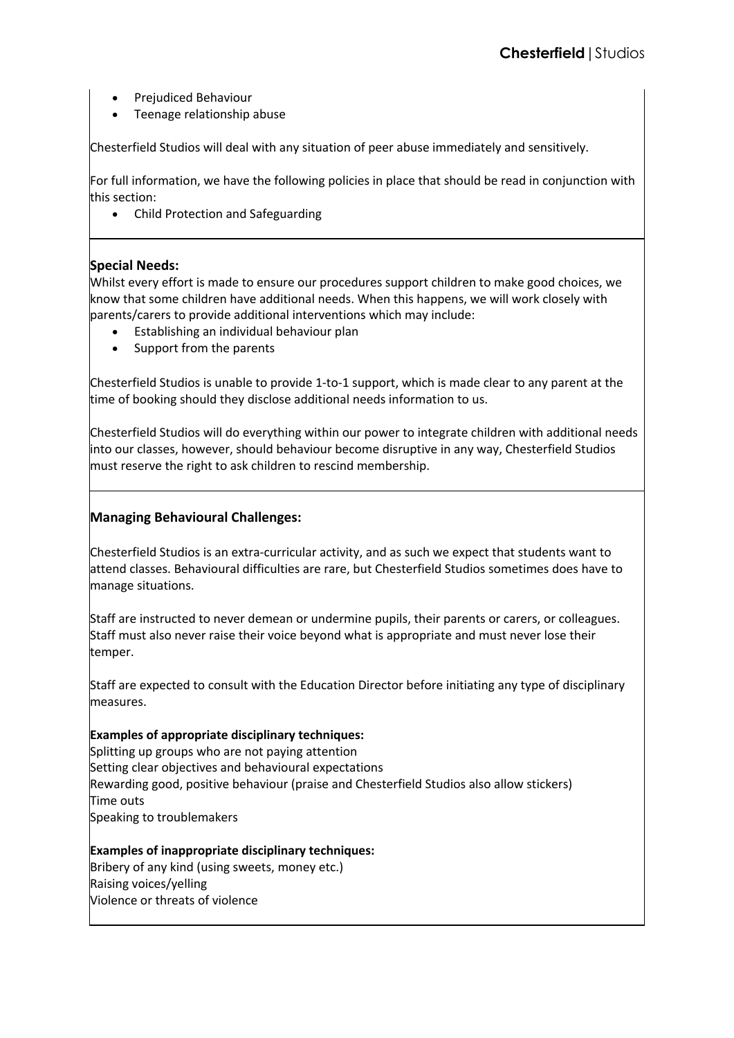- Prejudiced Behaviour
- Teenage relationship abuse

Chesterfield Studios will deal with any situation of peer abuse immediately and sensitively.

For full information, we have the following policies in place that should be read in conjunction with this section:

• Child Protection and Safeguarding

## **Special Needs:**

Whilst every effort is made to ensure our procedures support children to make good choices, we know that some children have additional needs. When this happens, we will work closely with parents/carers to provide additional interventions which may include:

- Establishing an individual behaviour plan
- Support from the parents

Chesterfield Studios is unable to provide 1-to-1 support, which is made clear to any parent at the time of booking should they disclose additional needs information to us.

Chesterfield Studios will do everything within our power to integrate children with additional needs into our classes, however, should behaviour become disruptive in any way, Chesterfield Studios must reserve the right to ask children to rescind membership.

## **Managing Behavioural Challenges:**

Chesterfield Studios is an extra-curricular activity, and as such we expect that students want to attend classes. Behavioural difficulties are rare, but Chesterfield Studios sometimes does have to manage situations.

Staff are instructed to never demean or undermine pupils, their parents or carers, or colleagues. Staff must also never raise their voice beyond what is appropriate and must never lose their temper.

Staff are expected to consult with the Education Director before initiating any type of disciplinary measures.

## **Examples of appropriate disciplinary techniques:**

Splitting up groups who are not paying attention Setting clear objectives and behavioural expectations Rewarding good, positive behaviour (praise and Chesterfield Studios also allow stickers) Time outs Speaking to troublemakers

# **Examples of inappropriate disciplinary techniques:**

Bribery of any kind (using sweets, money etc.) Raising voices/yelling Violence or threats of violence